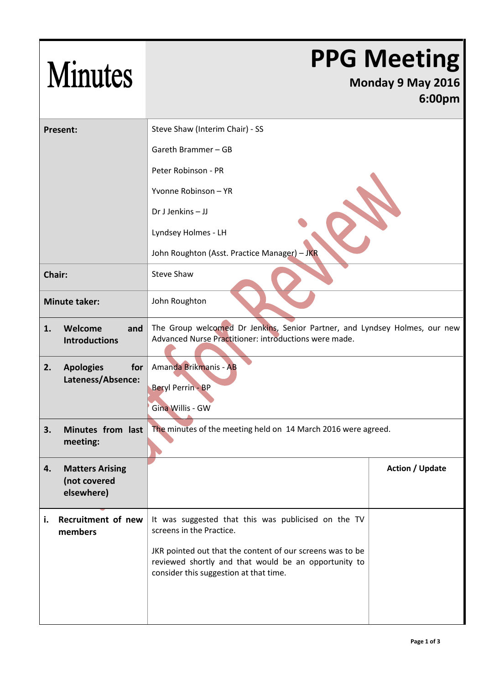| <b>Minutes</b>                                             |                                                                                                                                                             | <b>PPG Meeting</b><br>Monday 9 May 2016<br>6:00pm |  |
|------------------------------------------------------------|-------------------------------------------------------------------------------------------------------------------------------------------------------------|---------------------------------------------------|--|
| <b>Present:</b>                                            | Steve Shaw (Interim Chair) - SS                                                                                                                             |                                                   |  |
|                                                            | Gareth Brammer - GB                                                                                                                                         |                                                   |  |
|                                                            | Peter Robinson - PR                                                                                                                                         |                                                   |  |
|                                                            | Yvonne Robinson - YR                                                                                                                                        |                                                   |  |
|                                                            | Dr J Jenkins - JJ                                                                                                                                           |                                                   |  |
|                                                            | Lyndsey Holmes - LH                                                                                                                                         |                                                   |  |
|                                                            | John Roughton (Asst. Practice Manager) - JKR                                                                                                                |                                                   |  |
| Chair:                                                     | <b>Steve Shaw</b>                                                                                                                                           |                                                   |  |
| <b>Minute taker:</b>                                       | John Roughton                                                                                                                                               |                                                   |  |
| Welcome<br>1.<br>and<br><b>Introductions</b>               | The Group welcomed Dr Jenkins, Senior Partner, and Lyndsey Holmes, our new<br>Advanced Nurse Practitioner: introductions were made.                         |                                                   |  |
| <b>Apologies</b><br>for<br>2.<br>Lateness/Absence:         | Amanda Brikmanis - AB<br><b>Beryl Perrin - BP</b><br>Gina Willis - GW                                                                                       |                                                   |  |
| Minutes from last<br>3.<br>meeting:                        | The minutes of the meeting held on 14 March 2016 were agreed.                                                                                               |                                                   |  |
| 4.<br><b>Matters Arising</b><br>(not covered<br>elsewhere) |                                                                                                                                                             | <b>Action / Update</b>                            |  |
| Recruitment of new<br>i.<br>members                        | It was suggested that this was publicised on the TV<br>screens in the Practice.                                                                             |                                                   |  |
|                                                            | JKR pointed out that the content of our screens was to be<br>reviewed shortly and that would be an opportunity to<br>consider this suggestion at that time. |                                                   |  |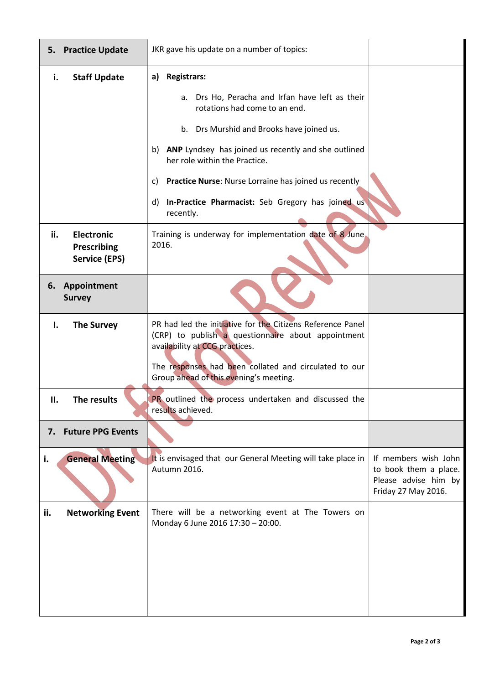| <b>Practice Update</b><br>5.                                    | JKR gave his update on a number of topics:                                                                                                                                                                  |                                                                                              |
|-----------------------------------------------------------------|-------------------------------------------------------------------------------------------------------------------------------------------------------------------------------------------------------------|----------------------------------------------------------------------------------------------|
| <b>Staff Update</b><br>i.                                       | a) Registrars:                                                                                                                                                                                              |                                                                                              |
|                                                                 | Drs Ho, Peracha and Irfan have left as their<br>а.<br>rotations had come to an end.                                                                                                                         |                                                                                              |
|                                                                 | b. Drs Murshid and Brooks have joined us.                                                                                                                                                                   |                                                                                              |
|                                                                 | ANP Lyndsey has joined us recently and she outlined<br>b)<br>her role within the Practice.                                                                                                                  |                                                                                              |
|                                                                 | Practice Nurse: Nurse Lorraine has joined us recently<br>C)                                                                                                                                                 |                                                                                              |
|                                                                 | d) In-Practice Pharmacist: Seb Gregory has joined us<br>recently.                                                                                                                                           |                                                                                              |
| <b>Electronic</b><br>ii.<br>Prescribing<br><b>Service (EPS)</b> | Training is underway for implementation date of 8 June.<br>2016.                                                                                                                                            |                                                                                              |
| Appointment<br>6.<br><b>Survey</b>                              |                                                                                                                                                                                                             |                                                                                              |
| <b>The Survey</b><br>Ι.                                         | PR had led the initiative for the Citizens Reference Panel<br>(CRP) to publish a questionnaire about appointment<br>availability at CCG practices.<br>The responses had been collated and circulated to our |                                                                                              |
| The results<br>Н.                                               | Group ahead of this evening's meeting.<br>PR outlined the process undertaken and discussed the                                                                                                              |                                                                                              |
|                                                                 | results achieved.                                                                                                                                                                                           |                                                                                              |
| 7. Future PPG Events                                            |                                                                                                                                                                                                             |                                                                                              |
| <b>General Meeting</b><br>i.                                    | It is envisaged that our General Meeting will take place in<br>Autumn 2016.                                                                                                                                 | If members wish John<br>to book them a place.<br>Please advise him by<br>Friday 27 May 2016. |
| <b>Networking Event</b><br>ii.                                  | There will be a networking event at The Towers on<br>Monday 6 June 2016 17:30 - 20:00.                                                                                                                      |                                                                                              |
|                                                                 |                                                                                                                                                                                                             |                                                                                              |
|                                                                 |                                                                                                                                                                                                             |                                                                                              |